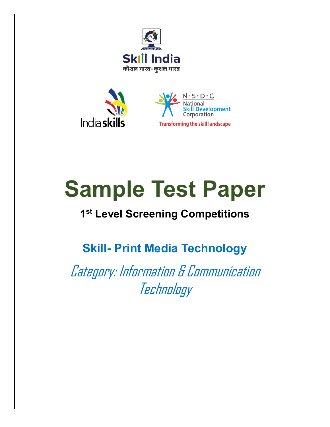



# **Sample Test Paper**

## **1 st Level Screening Competitions**

## **Skill- Print Media Technology**

Category: Information & Communication Technology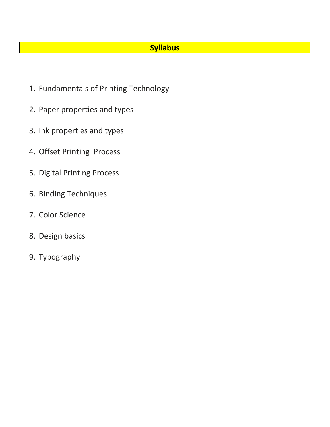#### **Syllabus**

- 1. Fundamentals of Printing Technology
- 2. Paper properties and types
- 3. Ink properties and types
- 4. Offset Printing Process
- 5. Digital Printing Process
- 6. Binding Techniques
- 7. Color Science
- 8. Design basics
- 9. Typography